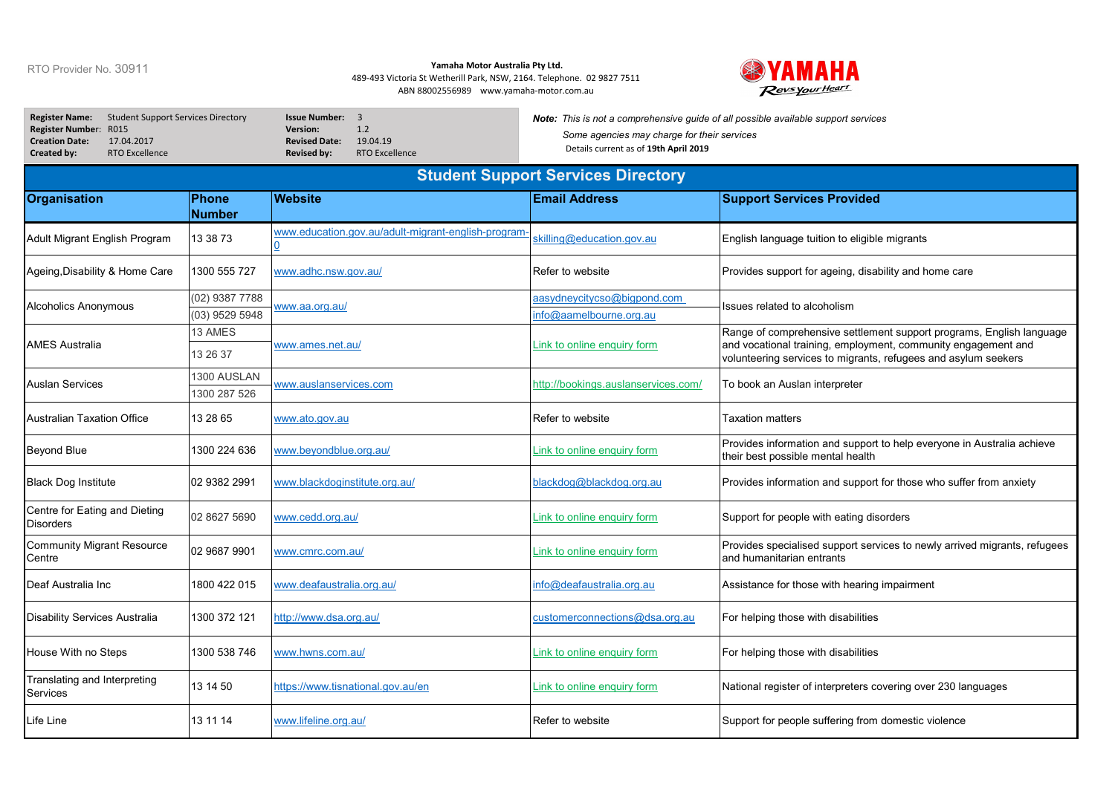## RTO Provider No. 30911

## **Yamaha Motor Australia Pty Ltd.**

489-493 Victoria St Wetherill Park, NSW, 2164. Telephone. 02 9827 7511 ABN 88002556989 www.yamaha-motor.com.au



| <b>Register Name:</b><br><b>Student Support Services Directory</b><br><b>Register Number:</b><br>R015<br><b>Creation Date:</b><br>17.04.2017<br>Created by:<br><b>RTO Excellence</b> |                                  | <b>Issue Number: 3</b><br>1.2<br><b>Version:</b><br><b>Revised Date:</b><br>19.04.19<br><b>Revised by:</b><br><b>RTO Excellence</b> | Note: This is not a comprehensive guide of all possible available support services<br>Some agencies may charge for their services<br>Details current as of 19th April 2019 |                                                                                                                                                                                                         |  |  |  |  |
|--------------------------------------------------------------------------------------------------------------------------------------------------------------------------------------|----------------------------------|-------------------------------------------------------------------------------------------------------------------------------------|----------------------------------------------------------------------------------------------------------------------------------------------------------------------------|---------------------------------------------------------------------------------------------------------------------------------------------------------------------------------------------------------|--|--|--|--|
| <b>Student Support Services Directory</b>                                                                                                                                            |                                  |                                                                                                                                     |                                                                                                                                                                            |                                                                                                                                                                                                         |  |  |  |  |
| <b>Organisation</b>                                                                                                                                                                  | <b>Phone</b><br><b>Number</b>    | <b>Website</b>                                                                                                                      | <b>Email Address</b>                                                                                                                                                       | <b>Support Services Provided</b>                                                                                                                                                                        |  |  |  |  |
| Adult Migrant English Program                                                                                                                                                        | 13 38 73                         | www.education.gov.au/adult-migrant-english-program                                                                                  | skilling@education.gov.au                                                                                                                                                  | English language tuition to eligible migrants                                                                                                                                                           |  |  |  |  |
| Ageing, Disability & Home Care                                                                                                                                                       | 1300 555 727                     | www.adhc.nsw.gov.au/                                                                                                                | Refer to website                                                                                                                                                           | Provides support for ageing, disability and home care                                                                                                                                                   |  |  |  |  |
| Alcoholics Anonymous                                                                                                                                                                 | (02) 9387 7788<br>(03) 9529 5948 | www.aa.org.au/                                                                                                                      | aasydneycitycso@bigpond.com<br>info@aamelbourne.org.au                                                                                                                     | Issues related to alcoholism                                                                                                                                                                            |  |  |  |  |
| <b>AMES Australia</b>                                                                                                                                                                | 13 AMES<br>13 26 37              | /www.ames.net.au                                                                                                                    | Link to online enquiry form                                                                                                                                                | Range of comprehensive settlement support programs, English language<br>and vocational training, employment, community engagement and<br>volunteering services to migrants, refugees and asylum seekers |  |  |  |  |
| Auslan Services                                                                                                                                                                      | 1300 AUSLAN<br>1300 287 526      | www.auslanservices.com                                                                                                              | http://bookings.auslanservices.com/                                                                                                                                        | To book an Auslan interpreter                                                                                                                                                                           |  |  |  |  |
| Australian Taxation Office                                                                                                                                                           | 13 28 65                         | www.ato.gov.au                                                                                                                      | Refer to website                                                                                                                                                           | Taxation matters                                                                                                                                                                                        |  |  |  |  |
| <b>Beyond Blue</b>                                                                                                                                                                   | 1300 224 636                     | www.beyondblue.org.au/                                                                                                              | Link to online enquiry form                                                                                                                                                | Provides information and support to help everyone in Australia achieve<br>their best possible mental health                                                                                             |  |  |  |  |
| Black Dog Institute                                                                                                                                                                  | 02 9382 2991                     | www.blackdoginstitute.org.au/                                                                                                       | blackdog@blackdog.org.au                                                                                                                                                   | Provides information and support for those who suffer from anxiety                                                                                                                                      |  |  |  |  |
| Centre for Eating and Dieting<br><b>Disorders</b>                                                                                                                                    | 02 8627 5690                     | www.cedd.org.au/                                                                                                                    | Link to online enquiry form                                                                                                                                                | Support for people with eating disorders                                                                                                                                                                |  |  |  |  |
| <b>Community Migrant Resource</b><br>Centre                                                                                                                                          | 02 9687 9901                     | www.cmrc.com.au/                                                                                                                    | Link to online enquiry form                                                                                                                                                | Provides specialised support services to newly arrived migrants, refugees<br>and humanitarian entrants                                                                                                  |  |  |  |  |
| Deaf Australia Inc                                                                                                                                                                   | 1800 422 015                     | www.deafaustralia.org.au/                                                                                                           | info@deafaustralia.org.au                                                                                                                                                  | Assistance for those with hearing impairment                                                                                                                                                            |  |  |  |  |
| Disability Services Australia                                                                                                                                                        | 1300 372 121                     | http://www.dsa.org.au/                                                                                                              | customerconnections@dsa.org.au                                                                                                                                             | For helping those with disabilities                                                                                                                                                                     |  |  |  |  |
| House With no Steps                                                                                                                                                                  | 1300 538 746                     | www.hwns.com.au/                                                                                                                    | Link to online enquiry form                                                                                                                                                | For helping those with disabilities                                                                                                                                                                     |  |  |  |  |
| Translating and Interpreting<br>Services                                                                                                                                             | 13 14 50                         | https://www.tisnational.gov.au/en                                                                                                   | Link to online enquiry form                                                                                                                                                | National register of interpreters covering over 230 languages                                                                                                                                           |  |  |  |  |
| Life Line                                                                                                                                                                            | 13 11 14                         | www.lifeline.org.au/                                                                                                                | Refer to website                                                                                                                                                           | Support for people suffering from domestic violence                                                                                                                                                     |  |  |  |  |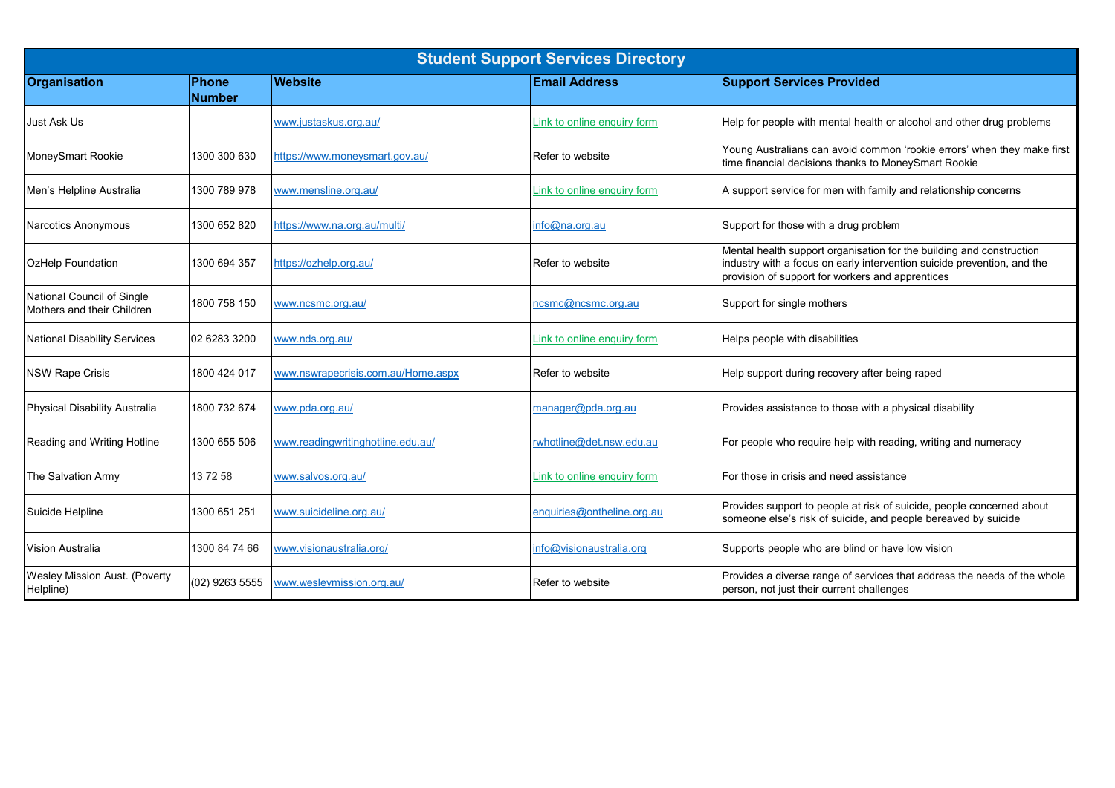| <b>Student Support Services Directory</b>                |                        |                                    |                             |                                                                                                                                                                                                     |  |  |  |
|----------------------------------------------------------|------------------------|------------------------------------|-----------------------------|-----------------------------------------------------------------------------------------------------------------------------------------------------------------------------------------------------|--|--|--|
| <b>Organisation</b>                                      | Phone<br><b>Number</b> | <b>Website</b>                     | <b>Email Address</b>        | <b>Support Services Provided</b>                                                                                                                                                                    |  |  |  |
| <b>Just Ask Us</b>                                       |                        | www.justaskus.org.au/              | Link to online enquiry form | Help for people with mental health or alcohol and other drug problems                                                                                                                               |  |  |  |
| MoneySmart Rookie                                        | 1300 300 630           | https://www.moneysmart.gov.au/     | Refer to website            | Young Australians can avoid common 'rookie errors' when they make first<br>time financial decisions thanks to MoneySmart Rookie                                                                     |  |  |  |
| Men's Helpline Australia                                 | 1300 789 978           | www.mensline.org.au/               | Link to online enquiry form | A support service for men with family and relationship concerns                                                                                                                                     |  |  |  |
| <b>Narcotics Anonymous</b>                               | 1300 652 820           | https://www.na.org.au/multi/       | info@na.org.au              | Support for those with a drug problem                                                                                                                                                               |  |  |  |
| OzHelp Foundation                                        | 1300 694 357           | https://ozhelp.org.au/             | Refer to website            | Mental health support organisation for the building and construction<br>industry with a focus on early intervention suicide prevention, and the<br>provision of support for workers and apprentices |  |  |  |
| National Council of Single<br>Mothers and their Children | 1800 758 150           | www.ncsmc.org.au/                  | ncsmc@ncsmc.org.au          | Support for single mothers                                                                                                                                                                          |  |  |  |
| <b>National Disability Services</b>                      | 02 6283 3200           | www.nds.org.au/                    | Link to online enquiry form | Helps people with disabilities                                                                                                                                                                      |  |  |  |
| <b>NSW Rape Crisis</b>                                   | 1800 424 017           | www.nswrapecrisis.com.au/Home.aspx | Refer to website            | Help support during recovery after being raped                                                                                                                                                      |  |  |  |
| <b>Physical Disability Australia</b>                     | 1800 732 674           | www.pda.org.au/                    | manager@pda.org.au          | Provides assistance to those with a physical disability                                                                                                                                             |  |  |  |
| Reading and Writing Hotline                              | 1300 655 506           | www.readingwritinghotline.edu.au/  | rwhotline@det.nsw.edu.au    | For people who require help with reading, writing and numeracy                                                                                                                                      |  |  |  |
| The Salvation Army                                       | 13 72 58               | www.salvos.org.au/                 | Link to online enquiry form | For those in crisis and need assistance                                                                                                                                                             |  |  |  |
| Suicide Helpline                                         | 1300 651 251           | www.suicideline.org.au/            | enquiries@ontheline.org.au  | Provides support to people at risk of suicide, people concerned about<br>someone else's risk of suicide, and people bereaved by suicide                                                             |  |  |  |
| <b>Vision Australia</b>                                  | 1300 84 74 66          | www.visionaustralia.org/           | nfo@visionaustralia.org     | Supports people who are blind or have low vision                                                                                                                                                    |  |  |  |
| Wesley Mission Aust. (Poverty<br>Helpline)               | (02) 9263 5555         | www.wesleymission.org.au/          | Refer to website            | Provides a diverse range of services that address the needs of the whole<br>person, not just their current challenges                                                                               |  |  |  |